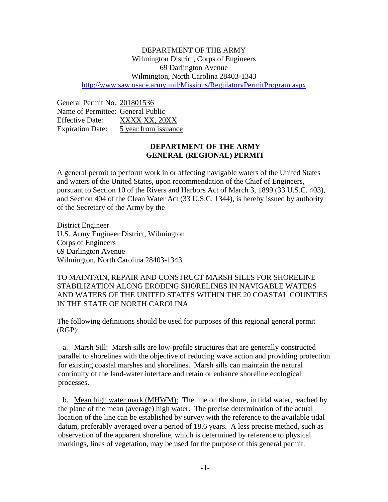## DEPARTMENT OF THE ARMY Wilmington District, Corps of Engineers 69 Darlington Avenue Wilmington, North Carolina 28403-1343 <http://www.saw.usace.army.mil/Missions/RegulatoryPermitProgram.aspx>

General Permit No. 201801536 Name of Permittee: General Public Effective Date: XXXX XX, 20XX Expiration Date: 5 year from issuance

# **DEPARTMENT OF THE ARMY GENERAL (REGIONAL) PERMIT**

A general permit to perform work in or affecting navigable waters of the United States and waters of the United States, upon recommendation of the Chief of Engineers, pursuant to Section 10 of the Rivers and Harbors Act of March 3, 1899 (33 U.S.C. 403), and Section 404 of the Clean Water Act (33 U.S.C. 1344), is hereby issued by authority of the Secretary of the Army by the

District Engineer U.S. Army Engineer District, Wilmington Corps of Engineers 69 Darlington Avenue Wilmington, North Carolina 28403-1343

TO MAINTAIN, REPAIR AND CONSTRUCT MARSH SILLS FOR SHORELINE STABILIZATION ALONG ERODING SHORELINES IN NAVIGABLE WATERS AND WATERS OF THE UNITED STATES WITHIN THE 20 COASTAL COUNTIES IN THE STATE OF NORTH CAROLINA.

The following definitions should be used for purposes of this regional general permit (RGP):

a. Marsh Sill: Marsh sills are low-profile structures that are generally constructed parallel to shorelines with the objective of reducing wave action and providing protection for existing coastal marshes and shorelines. Marsh sills can maintain the natural continuity of the land-water interface and retain or enhance shoreline ecological processes.

b. Mean high water mark (MHWM): The line on the shore, in tidal water, reached by the plane of the mean (average) high water. The precise determination of the actual location of the line can be established by survey with the reference to the available tidal datum, preferably averaged over a period of 18.6 years. A less precise method, such as observation of the apparent shoreline, which is determined by reference to physical markings, lines of vegetation, may be used for the purpose of this general permit.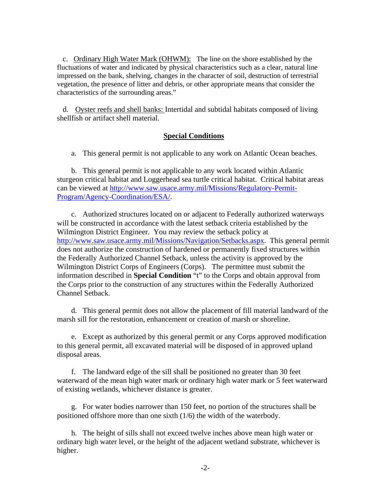c. Ordinary High Water Mark (OHWM): The line on the shore established by the fluctuations of water and indicated by physical characteristics such as a clear, natural line impressed on the bank, shelving, changes in the character of soil, destruction of terrestrial vegetation, the presence of litter and debris, or other appropriate means that consider the characteristics of the surrounding areas."

d. Oyster reefs and shell banks: Intertidal and subtidal habitats composed of living shellfish or artifact shell material.

### **Special Conditions**

a. This general permit is not applicable to any work on Atlantic Ocean beaches.

b. This general permit is not applicable to any work located within Atlantic sturgeon critical habitat and Loggerhead sea turtle critical habitat. Critical habitat areas can be viewed at [http://www.saw.usace.army.mil/Missions/Regulatory-Permit-](http://www.saw.usace.army.mil/Missions/Regulatory-Permit-Program/Agency-Coordination/ESA/)[Program/Agency-Coordination/ESA/.](http://www.saw.usace.army.mil/Missions/Regulatory-Permit-Program/Agency-Coordination/ESA/)

c. Authorized structures located on or adjacent to Federally authorized waterways will be constructed in accordance with the latest setback criteria established by the Wilmington District Engineer. You may review the setback policy at [http://www.saw.usace.army.mil/Missions/Navigation/Setbacks.aspx.](http://www.saw.usace.army.mil/Missions/Navigation/Setbacks.aspx) This general permit does not authorize the construction of hardened or permanently fixed structures within the Federally Authorized Channel Setback, unless the activity is approved by the Wilmington District Corps of Engineers (Corps). The permittee must submit the information described in **Special Condition** "t" to the Corps and obtain approval from the Corps prior to the construction of any structures within the Federally Authorized Channel Setback.

d. This general permit does not allow the placement of fill material landward of the marsh sill for the restoration, enhancement or creation of marsh or shoreline.

e. Except as authorized by this general permit or any Corps approved modification to this general permit, all excavated material will be disposed of in approved upland disposal areas.

f. The landward edge of the sill shall be positioned no greater than 30 feet waterward of the mean high water mark or ordinary high water mark or 5 feet waterward of existing wetlands, whichever distance is greater.

g. For water bodies narrower than 150 feet, no portion of the structures shall be positioned offshore more than one sixth (1/6) the width of the waterbody.

h. The height of sills shall not exceed twelve inches above mean high water or ordinary high water level, or the height of the adjacent wetland substrate, whichever is higher.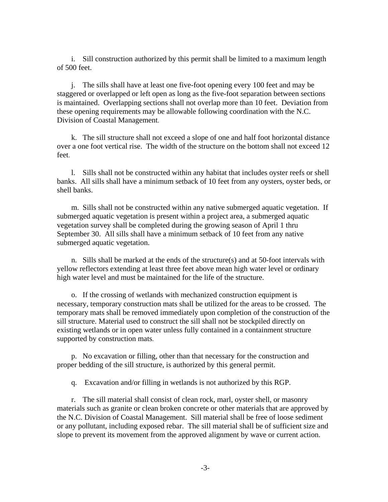i. Sill construction authorized by this permit shall be limited to a maximum length of 500 feet.

j. The sills shall have at least one five-foot opening every 100 feet and may be staggered or overlapped or left open as long as the five-foot separation between sections is maintained. Overlapping sections shall not overlap more than 10 feet. Deviation from these opening requirements may be allowable following coordination with the N.C. Division of Coastal Management.

k. The sill structure shall not exceed a slope of one and half foot horizontal distance over a one foot vertical rise. The width of the structure on the bottom shall not exceed 12 feet.

l. Sills shall not be constructed within any habitat that includes oyster reefs or shell banks. All sills shall have a minimum setback of 10 feet from any oysters, oyster beds, or shell banks.

m. Sills shall not be constructed within any native submerged aquatic vegetation. If submerged aquatic vegetation is present within a project area, a submerged aquatic vegetation survey shall be completed during the growing season of April 1 thru September 30. All sills shall have a minimum setback of 10 feet from any native submerged aquatic vegetation.

n. Sills shall be marked at the ends of the structure(s) and at 50-foot intervals with yellow reflectors extending at least three feet above mean high water level or ordinary high water level and must be maintained for the life of the structure.

o. If the crossing of wetlands with mechanized construction equipment is necessary, temporary construction mats shall be utilized for the areas to be crossed. The temporary mats shall be removed immediately upon completion of the construction of the sill structure. Material used to construct the sill shall not be stockpiled directly on existing wetlands or in open water unless fully contained in a containment structure supported by construction mats.

p. No excavation or filling, other than that necessary for the construction and proper bedding of the sill structure, is authorized by this general permit.

q. Excavation and/or filling in wetlands is not authorized by this RGP.

r. The sill material shall consist of clean rock, marl, oyster shell, or masonry materials such as granite or clean broken concrete or other materials that are approved by the N.C. Division of Coastal Management. Sill material shall be free of loose sediment or any pollutant, including exposed rebar. The sill material shall be of sufficient size and slope to prevent its movement from the approved alignment by wave or current action.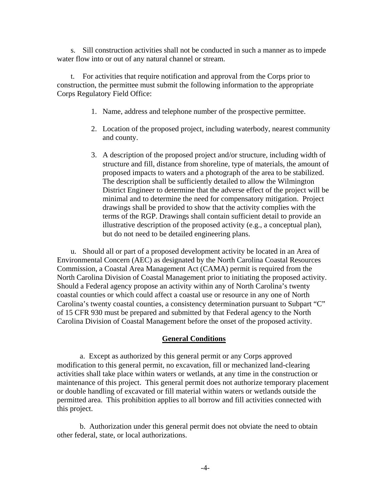s. Sill construction activities shall not be conducted in such a manner as to impede water flow into or out of any natural channel or stream.

t. For activities that require notification and approval from the Corps prior to construction, the permittee must submit the following information to the appropriate Corps Regulatory Field Office:

- 1. Name, address and telephone number of the prospective permittee.
- 2. Location of the proposed project, including waterbody, nearest community and county.
- 3. A description of the proposed project and/or structure, including width of structure and fill, distance from shoreline, type of materials, the amount of proposed impacts to waters and a photograph of the area to be stabilized. The description shall be sufficiently detailed to allow the Wilmington District Engineer to determine that the adverse effect of the project will be minimal and to determine the need for compensatory mitigation. Project drawings shall be provided to show that the activity complies with the terms of the RGP. Drawings shall contain sufficient detail to provide an illustrative description of the proposed activity (e.g., a conceptual plan), but do not need to be detailed engineering plans.

u. Should all or part of a proposed development activity be located in an Area of Environmental Concern (AEC) as designated by the North Carolina Coastal Resources Commission, a Coastal Area Management Act (CAMA) permit is required from the North Carolina Division of Coastal Management prior to initiating the proposed activity. Should a Federal agency propose an activity within any of North Carolina's twenty coastal counties or which could affect a coastal use or resource in any one of North Carolina's twenty coastal counties, a consistency determination pursuant to Subpart "C" of 15 CFR 930 must be prepared and submitted by that Federal agency to the North Carolina Division of Coastal Management before the onset of the proposed activity.

#### **General Conditions**

a. Except as authorized by this general permit or any Corps approved modification to this general permit, no excavation, fill or mechanized land-clearing activities shall take place within waters or wetlands, at any time in the construction or maintenance of this project. This general permit does not authorize temporary placement or double handling of excavated or fill material within waters or wetlands outside the permitted area. This prohibition applies to all borrow and fill activities connected with this project.

b. Authorization under this general permit does not obviate the need to obtain other federal, state, or local authorizations.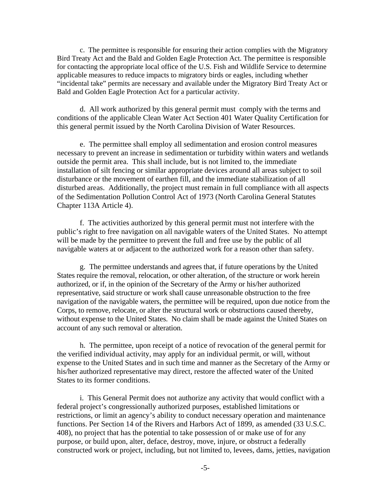c. The permittee is responsible for ensuring their action complies with the Migratory Bird Treaty Act and the Bald and Golden Eagle Protection Act. The permittee is responsible for contacting the appropriate local office of the U.S. Fish and Wildlife Service to determine applicable measures to reduce impacts to migratory birds or eagles, including whether "incidental take" permits are necessary and available under the Migratory Bird Treaty Act or Bald and Golden Eagle Protection Act for a particular activity.

d. All work authorized by this general permit must comply with the terms and conditions of the applicable Clean Water Act Section 401 Water Quality Certification for this general permit issued by the North Carolina Division of Water Resources.

e. The permittee shall employ all sedimentation and erosion control measures necessary to prevent an increase in sedimentation or turbidity within waters and wetlands outside the permit area. This shall include, but is not limited to, the immediate installation of silt fencing or similar appropriate devices around all areas subject to soil disturbance or the movement of earthen fill, and the immediate stabilization of all disturbed areas. Additionally, the project must remain in full compliance with all aspects of the Sedimentation Pollution Control Act of 1973 (North Carolina General Statutes Chapter 113A Article 4).

f. The activities authorized by this general permit must not interfere with the public's right to free navigation on all navigable waters of the United States. No attempt will be made by the permittee to prevent the full and free use by the public of all navigable waters at or adjacent to the authorized work for a reason other than safety.

g. The permittee understands and agrees that, if future operations by the United States require the removal, relocation, or other alteration, of the structure or work herein authorized, or if, in the opinion of the Secretary of the Army or his/her authorized representative, said structure or work shall cause unreasonable obstruction to the free navigation of the navigable waters, the permittee will be required, upon due notice from the Corps, to remove, relocate, or alter the structural work or obstructions caused thereby, without expense to the United States. No claim shall be made against the United States on account of any such removal or alteration.

h. The permittee, upon receipt of a notice of revocation of the general permit for the verified individual activity, may apply for an individual permit, or will, without expense to the United States and in such time and manner as the Secretary of the Army or his/her authorized representative may direct, restore the affected water of the United States to its former conditions.

i. This General Permit does not authorize any activity that would conflict with a federal project's congressionally authorized purposes, established limitations or restrictions, or limit an agency's ability to conduct necessary operation and maintenance functions. Per Section 14 of the Rivers and Harbors Act of 1899, as amended (33 U.S.C. 408), no project that has the potential to take possession of or make use of for any purpose, or build upon, alter, deface, destroy, move, injure, or obstruct a federally constructed work or project, including, but not limited to, levees, dams, jetties, navigation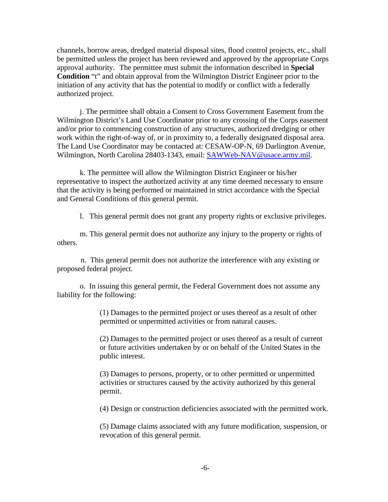channels, borrow areas, dredged material disposal sites, flood control projects, etc., shall be permitted unless the project has been reviewed and approved by the appropriate Corps approval authority. The permittee must submit the information described in **Special Condition** "t" and obtain approval from the Wilmington District Engineer prior to the initiation of any activity that has the potential to modify or conflict with a federally authorized project.

j. The permittee shall obtain a Consent to Cross Government Easement from the Wilmington District's Land Use Coordinator prior to any crossing of the Corps easement and/or prior to commencing construction of any structures, authorized dredging or other work within the right-of-way of, or in proximity to, a federally designated disposal area. The Land Use Coordinator may be contacted at: CESAW-OP-N, 69 Darlington Avenue, Wilmington, North Carolina 28403-1343, email: [SAWWeb-NAV@usace.army.mil.](mailto:SAWWeb-NAV@usace.army.mil)

k. The permittee will allow the Wilmington District Engineer or his/her representative to inspect the authorized activity at any time deemed necessary to ensure that the activity is being performed or maintained in strict accordance with the Special and General Conditions of this general permit.

l. This general permit does not grant any property rights or exclusive privileges.

m. This general permit does not authorize any injury to the property or rights of others.

n. This general permit does not authorize the interference with any existing or proposed federal project.

o. In issuing this general permit, the Federal Government does not assume any liability for the following:

> (1) Damages to the permitted project or uses thereof as a result of other permitted or unpermitted activities or from natural causes.

(2) Damages to the permitted project or uses thereof as a result of current or future activities undertaken by or on behalf of the United States in the public interest.

(3) Damages to persons, property, or to other permitted or unpermitted activities or structures caused by the activity authorized by this general permit.

(4) Design or construction deficiencies associated with the permitted work.

(5) Damage claims associated with any future modification, suspension, or revocation of this general permit.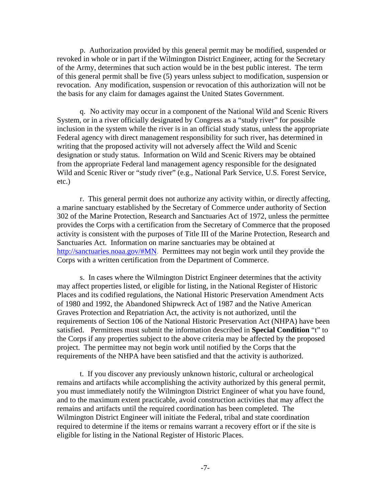p. Authorization provided by this general permit may be modified, suspended or revoked in whole or in part if the Wilmington District Engineer, acting for the Secretary of the Army, determines that such action would be in the best public interest. The term of this general permit shall be five (5) years unless subject to modification, suspension or revocation. Any modification, suspension or revocation of this authorization will not be the basis for any claim for damages against the United States Government.

q. No activity may occur in a component of the National Wild and Scenic Rivers System, or in a river officially designated by Congress as a "study river" for possible inclusion in the system while the river is in an official study status, unless the appropriate Federal agency with direct management responsibility for such river, has determined in writing that the proposed activity will not adversely affect the Wild and Scenic designation or study status. Information on Wild and Scenic Rivers may be obtained from the appropriate Federal land management agency responsible for the designated Wild and Scenic River or "study river" (e.g., National Park Service, U.S. Forest Service, etc.)

r. This general permit does not authorize any activity within, or directly affecting, a marine sanctuary established by the Secretary of Commerce under authority of Section 302 of the Marine Protection, Research and Sanctuaries Act of 1972, unless the permittee provides the Corps with a certification from the Secretary of Commerce that the proposed activity is consistent with the purposes of Title III of the Marine Protection, Research and Sanctuaries Act. Information on marine sanctuaries may be obtained at [http://sanctuaries.noaa.gov/#MN.](http://sanctuaries.noaa.gov/#MN) Permittees may not begin work until they provide the Corps with a written certification from the Department of Commerce.

s. In cases where the Wilmington District Engineer determines that the activity may affect properties listed, or eligible for listing, in the National Register of Historic Places and its codified regulations, the National Historic Preservation Amendment Acts of 1980 and 1992, the Abandoned Shipwreck Act of 1987 and the Native American Graves Protection and Repatriation Act, the activity is not authorized, until the requirements of Section 106 of the National Historic Preservation Act (NHPA) have been satisfied. Permittees must submit the information described in **Special Condition** "t" to the Corps if any properties subject to the above criteria may be affected by the proposed project. The permittee may not begin work until notified by the Corps that the requirements of the NHPA have been satisfied and that the activity is authorized.

t. If you discover any previously unknown historic, cultural or archeological remains and artifacts while accomplishing the activity authorized by this general permit, you must immediately notify the Wilmington District Engineer of what you have found, and to the maximum extent practicable, avoid construction activities that may affect the remains and artifacts until the required coordination has been completed. The Wilmington District Engineer will initiate the Federal, tribal and state coordination required to determine if the items or remains warrant a recovery effort or if the site is eligible for listing in the National Register of Historic Places.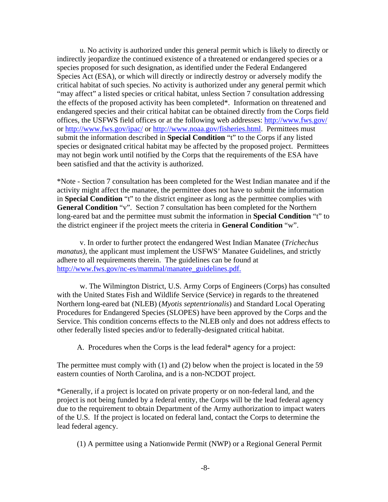u. No activity is authorized under this general permit which is likely to directly or indirectly jeopardize the continued existence of a threatened or endangered species or a species proposed for such designation, as identified under the Federal Endangered Species Act (ESA), or which will directly or indirectly destroy or adversely modify the critical habitat of such species. No activity is authorized under any general permit which "may affect" a listed species or critical habitat, unless Section 7 consultation addressing the effects of the proposed activity has been completed\*. Information on threatened and endangered species and their critical habitat can be obtained directly from the Corps field offices, the USFWS field offices or at the following web addresses:<http://www.fws.gov/> or<http://www.fws.gov/ipac/> or [http://www.noaa.gov/fisheries.html.](http://www.noaa.gov/fisheries.html) Permittees must submit the information described in **Special Condition** "t" to the Corps if any listed species or designated critical habitat may be affected by the proposed project. Permittees may not begin work until notified by the Corps that the requirements of the ESA have been satisfied and that the activity is authorized.

\*Note - Section 7 consultation has been completed for the West Indian manatee and if the activity might affect the manatee, the permittee does not have to submit the information in **Special Condition** "t" to the district engineer as long as the permittee complies with **General Condition** "v". Section 7 consultation has been completed for the Northern long-eared bat and the permittee must submit the information in **Special Condition** "t" to the district engineer if the project meets the criteria in **General Condition** "w".

v. In order to further protect the endangered West Indian Manatee (*Trichechus manatus)*, the applicant must implement the USFWS' Manatee Guidelines, and strictly adhere to all requirements therein. The guidelines can be found at [http://www.fws.gov/nc-es/mammal/manatee\\_guidelines.pdf.](http://www.fws.gov/nc-es/mammal/manatee_guidelines.pdf)

w. The Wilmington District, U.S. Army Corps of Engineers (Corps) has consulted with the United States Fish and Wildlife Service (Service) in regards to the threatened Northern long-eared bat (NLEB) (*Myotis septentrionalis*) and Standard Local Operating Procedures for Endangered Species (SLOPES) have been approved by the Corps and the Service. This condition concerns effects to the NLEB only and does not address effects to other federally listed species and/or to federally-designated critical habitat.

A. Procedures when the Corps is the lead federal\* agency for a project:

The permittee must comply with (1) and (2) below when the project is located in the 59 eastern counties of North Carolina, and is a non-NCDOT project.

\*Generally, if a project is located on private property or on non-federal land, and the project is not being funded by a federal entity, the Corps will be the lead federal agency due to the requirement to obtain Department of the Army authorization to impact waters of the U.S. If the project is located on federal land, contact the Corps to determine the lead federal agency.

(1) A permittee using a Nationwide Permit (NWP) or a Regional General Permit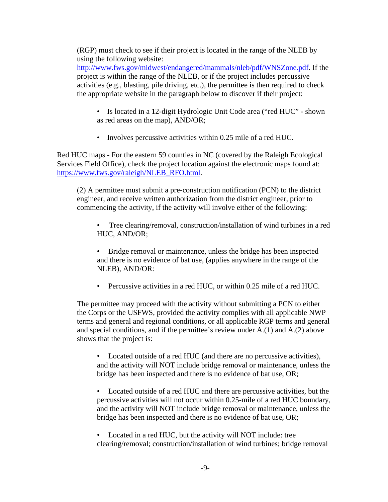(RGP) must check to see if their project is located in the range of the NLEB by using the following website:

[http://www.fws.gov/midwest/endangered/mammals/nleb/pdf/WNSZone.pdf.](http://www.fws.gov/midwest/endangered/mammals/nleb/pdf/WNSZone.pdf) If the project is within the range of the NLEB, or if the project includes percussive activities (e.g., blasting, pile driving, etc.), the permittee is then required to check the appropriate website in the paragraph below to discover if their project:

- Is located in a 12-digit Hydrologic Unit Code area ("red HUC" shown as red areas on the map), AND/OR;
- Involves percussive activities within 0.25 mile of a red HUC.

Red HUC maps - For the eastern 59 counties in NC (covered by the Raleigh Ecological Services Field Office), check the project location against the electronic maps found at: [https://www.fws.gov/raleigh/NLEB\\_RFO.html.](https://www.fws.gov/raleigh/NLEB_RFO.html)

(2) A permittee must submit a pre-construction notification (PCN) to the district engineer, and receive written authorization from the district engineer, prior to commencing the activity, if the activity will involve either of the following:

• Tree clearing/removal, construction/installation of wind turbines in a red HUC, AND/OR;

• Bridge removal or maintenance, unless the bridge has been inspected and there is no evidence of bat use, (applies anywhere in the range of the NLEB), AND/OR:

• Percussive activities in a red HUC, or within 0.25 mile of a red HUC.

The permittee may proceed with the activity without submitting a PCN to either the Corps or the USFWS, provided the activity complies with all applicable NWP terms and general and regional conditions, or all applicable RGP terms and general and special conditions, and if the permittee's review under A.(1) and A.(2) above shows that the project is:

• Located outside of a red HUC (and there are no percussive activities), and the activity will NOT include bridge removal or maintenance, unless the bridge has been inspected and there is no evidence of bat use, OR;

• Located outside of a red HUC and there are percussive activities, but the percussive activities will not occur within 0.25-mile of a red HUC boundary, and the activity will NOT include bridge removal or maintenance, unless the bridge has been inspected and there is no evidence of bat use, OR;

• Located in a red HUC, but the activity will NOT include: tree clearing/removal; construction/installation of wind turbines; bridge removal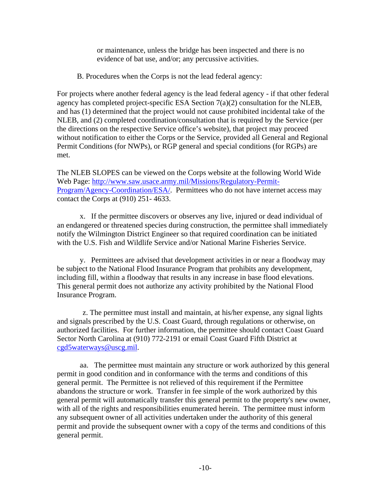or maintenance, unless the bridge has been inspected and there is no evidence of bat use, and/or; any percussive activities.

B. Procedures when the Corps is not the lead federal agency:

For projects where another federal agency is the lead federal agency - if that other federal agency has completed project-specific ESA Section 7(a)(2) consultation for the NLEB, and has (1) determined that the project would not cause prohibited incidental take of the NLEB, and (2) completed coordination/consultation that is required by the Service (per the directions on the respective Service office's website), that project may proceed without notification to either the Corps or the Service, provided all General and Regional Permit Conditions (for NWPs), or RGP general and special conditions (for RGPs) are met.

The NLEB SLOPES can be viewed on the Corps website at the following World Wide Web Page: [http://www.saw.usace.army.mil/Missions/Regulatory-Permit-](http://www.saw.usace.army.mil/Missions/Regulatory-Permit-Program/Agency-Coordination/ESA/)[Program/Agency-Coordination/ESA/.](http://www.saw.usace.army.mil/Missions/Regulatory-Permit-Program/Agency-Coordination/ESA/) Permittees who do not have internet access may contact the Corps at (910) 251- 4633.

x. If the permittee discovers or observes any live, injured or dead individual of an endangered or threatened species during construction, the permittee shall immediately notify the Wilmington District Engineer so that required coordination can be initiated with the U.S. Fish and Wildlife Service and/or National Marine Fisheries Service.

y. Permittees are advised that development activities in or near a floodway may be subject to the National Flood Insurance Program that prohibits any development, including fill, within a floodway that results in any increase in base flood elevations. This general permit does not authorize any activity prohibited by the National Flood Insurance Program.

z. The permittee must install and maintain, at his/her expense, any signal lights and signals prescribed by the U.S. Coast Guard, through regulations or otherwise, on authorized facilities. For further information, the permittee should contact Coast Guard Sector North Carolina at (910) 772-2191 or email Coast Guard Fifth District at [cgd5waterways@uscg.mil.](mailto:cgd5waterways@uscg.mil)

aa. The permittee must maintain any structure or work authorized by this general permit in good condition and in conformance with the terms and conditions of this general permit. The Permittee is not relieved of this requirement if the Permittee abandons the structure or work. Transfer in fee simple of the work authorized by this general permit will automatically transfer this general permit to the property's new owner, with all of the rights and responsibilities enumerated herein. The permittee must inform any subsequent owner of all activities undertaken under the authority of this general permit and provide the subsequent owner with a copy of the terms and conditions of this general permit.